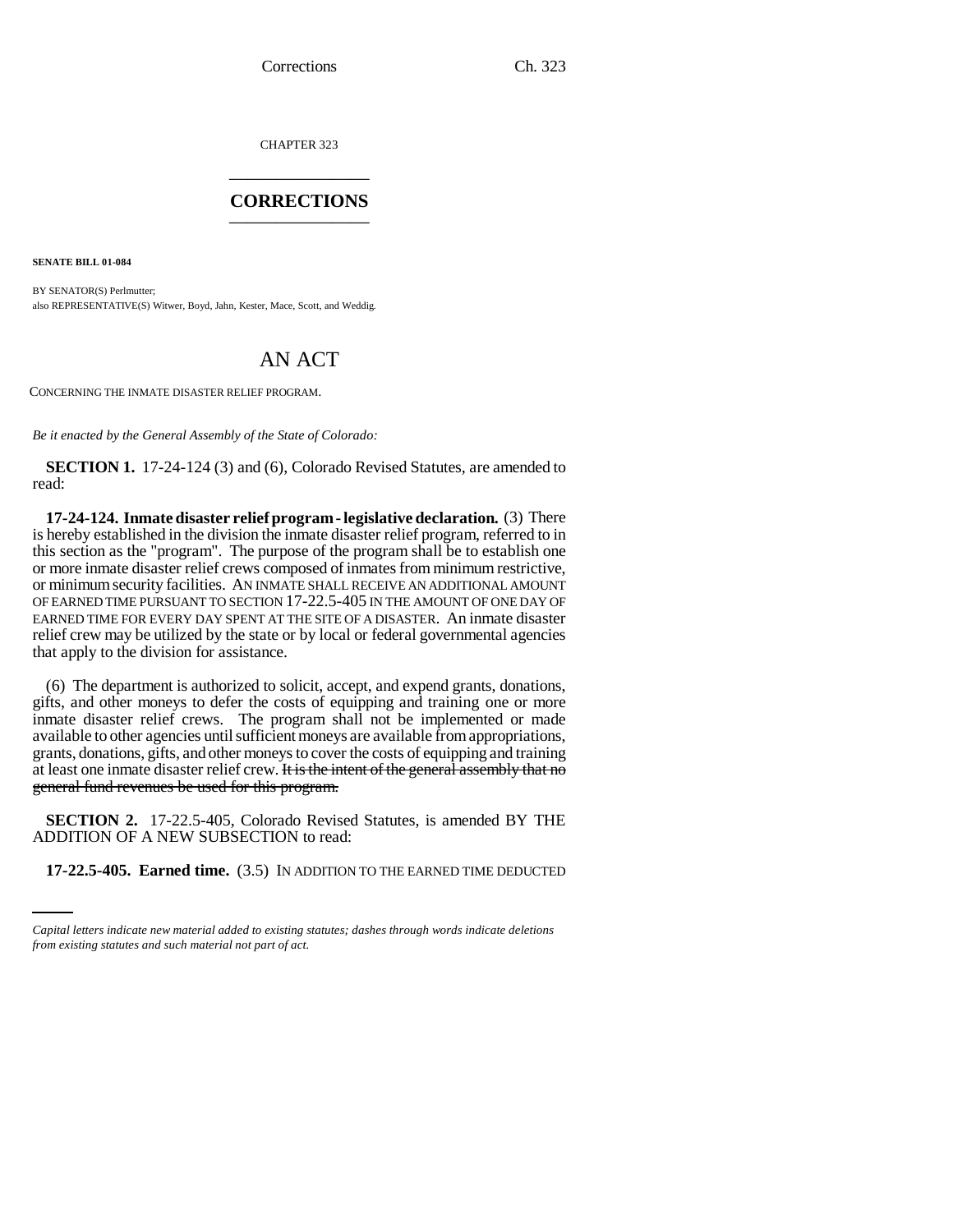Corrections Ch. 323

CHAPTER 323 \_\_\_\_\_\_\_\_\_\_\_\_\_\_\_

## **CORRECTIONS** \_\_\_\_\_\_\_\_\_\_\_\_\_\_\_

**SENATE BILL 01-084**

BY SENATOR(S) Perlmutter; also REPRESENTATIVE(S) Witwer, Boyd, Jahn, Kester, Mace, Scott, and Weddig.

## AN ACT

CONCERNING THE INMATE DISASTER RELIEF PROGRAM.

*Be it enacted by the General Assembly of the State of Colorado:*

**SECTION 1.** 17-24-124 (3) and (6), Colorado Revised Statutes, are amended to read:

**17-24-124. Inmate disaster relief program - legislative declaration.** (3) There is hereby established in the division the inmate disaster relief program, referred to in this section as the "program". The purpose of the program shall be to establish one or more inmate disaster relief crews composed of inmates from minimum restrictive, or minimum security facilities. AN INMATE SHALL RECEIVE AN ADDITIONAL AMOUNT OF EARNED TIME PURSUANT TO SECTION 17-22.5-405 IN THE AMOUNT OF ONE DAY OF EARNED TIME FOR EVERY DAY SPENT AT THE SITE OF A DISASTER. An inmate disaster relief crew may be utilized by the state or by local or federal governmental agencies that apply to the division for assistance.

(6) The department is authorized to solicit, accept, and expend grants, donations, gifts, and other moneys to defer the costs of equipping and training one or more inmate disaster relief crews. The program shall not be implemented or made available to other agencies until sufficient moneys are available from appropriations, grants, donations, gifts, and other moneys to cover the costs of equipping and training at least one inmate disaster relief crew. It is the intent of the general assembly that no general fund revenues be used for this program.

ADDITION OF A NEW SUBSECTION to read: **SECTION 2.** 17-22.5-405, Colorado Revised Statutes, is amended BY THE

**17-22.5-405. Earned time.** (3.5) IN ADDITION TO THE EARNED TIME DEDUCTED

*Capital letters indicate new material added to existing statutes; dashes through words indicate deletions from existing statutes and such material not part of act.*